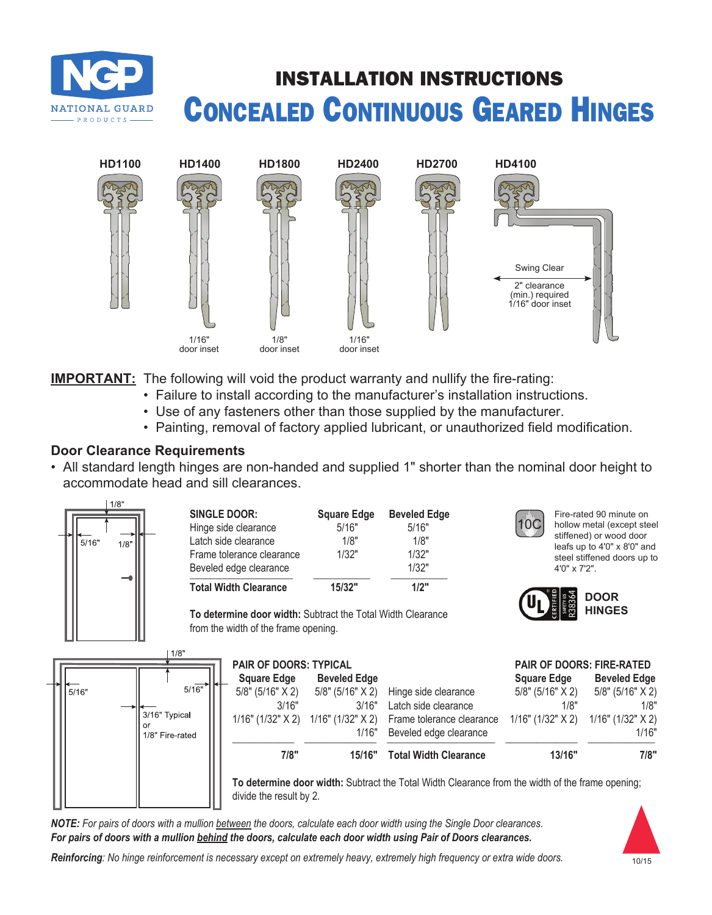# INSTALLATION INSTRUCTIONS Concealed Continuous Geared Hinges



**IMPORTANT:** The following will void the product warranty and nullify the fire-rating:

- Failure to install according to the manufacturer's installation instructions.
- Use of any fasteners other than those supplied by the manufacturer.
- Painting, removal of factory applied lubricant, or unauthorized field modification.

## **Door Clearance Requirements**

**NATIONAL GUARD PRODUCTS** 

• All standard length hinges are non-handed and supplied 1" shorter than the nominal door height to accommodate head and sill clearances.



*NOTE: For pairs of doors with a mullion between the doors, calculate each door width using the Single Door clearances. For pairs of doors with a mullion behind the doors, calculate each door width using Pair of Doors clearances.*



*Reinforcing: No hinge reinforcement is necessary except on extremely heavy, extremely high frequency or extra wide doors.*